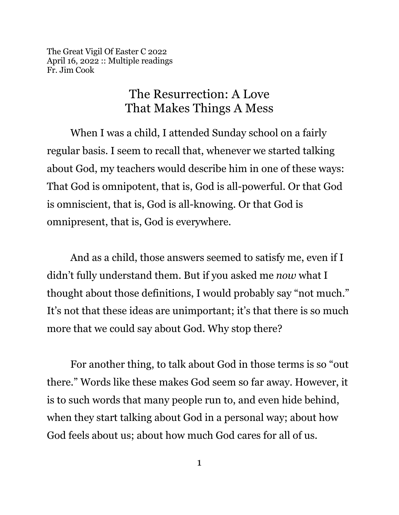The Great Vigil Of Easter C 2022 April 16, 2022 :: Multiple readings Fr. Jim Cook

## The Resurrection: A Love That Makes Things A Mess

When I was a child, I attended Sunday school on a fairly regular basis. I seem to recall that, whenever we started talking about God, my teachers would describe him in one of these ways: That God is omnipotent, that is, God is all-powerful. Or that God is omniscient, that is, God is all-knowing. Or that God is omnipresent, that is, God is everywhere.

And as a child, those answers seemed to satisfy me, even if I didn't fully understand them. But if you asked me *now* what I thought about those definitions, I would probably say "not much." It's not that these ideas are unimportant; it's that there is so much more that we could say about God. Why stop there?

For another thing, to talk about God in those terms is so "out there." Words like these makes God seem so far away. However, it is to such words that many people run to, and even hide behind, when they start talking about God in a personal way; about how God feels about us; about how much God cares for all of us.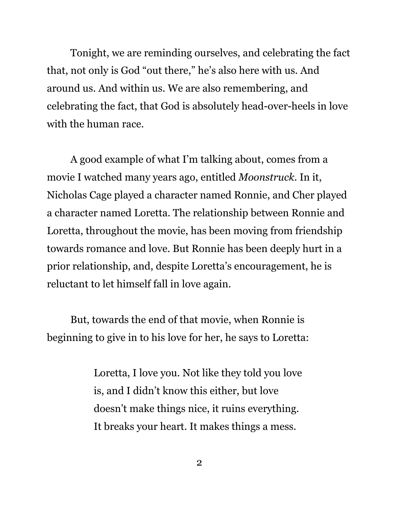Tonight, we are reminding ourselves, and celebrating the fact that, not only is God "out there," he's also here with us. And around us. And within us. We are also remembering, and celebrating the fact, that God is absolutely head-over-heels in love with the human race.

A good example of what I'm talking about, comes from a movie I watched many years ago, entitled *Moonstruck*. In it, Nicholas Cage played a character named Ronnie, and Cher played a character named Loretta. The relationship between Ronnie and Loretta, throughout the movie, has been moving from friendship towards romance and love. But Ronnie has been deeply hurt in a prior relationship, and, despite Loretta's encouragement, he is reluctant to let himself fall in love again.

But, towards the end of that movie, when Ronnie is beginning to give in to his love for her, he says to Loretta:

> Loretta, I love you. Not like they told you love is, and I didn't know this either, but love doesn't make things nice, it ruins everything. It breaks your heart. It makes things a mess.

> > 2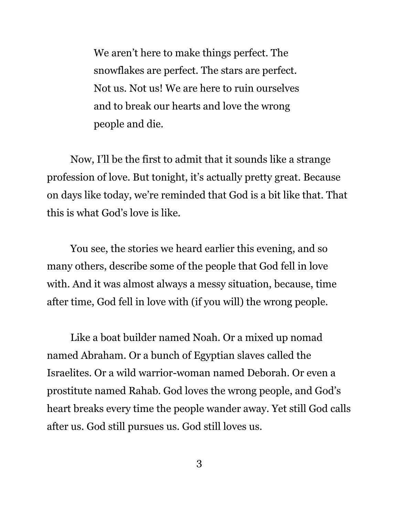We aren't here to make things perfect. The snowflakes are perfect. The stars are perfect. Not us. Not us! We are here to ruin ourselves and to break our hearts and love the wrong people and die.

Now, I'll be the first to admit that it sounds like a strange profession of love. But tonight, it's actually pretty great. Because on days like today, we're reminded that God is a bit like that. That this is what God's love is like.

You see, the stories we heard earlier this evening, and so many others, describe some of the people that God fell in love with. And it was almost always a messy situation, because, time after time, God fell in love with (if you will) the wrong people.

Like a boat builder named Noah. Or a mixed up nomad named Abraham. Or a bunch of Egyptian slaves called the Israelites. Or a wild warrior-woman named Deborah. Or even a prostitute named Rahab. God loves the wrong people, and God's heart breaks every time the people wander away. Yet still God calls after us. God still pursues us. God still loves us.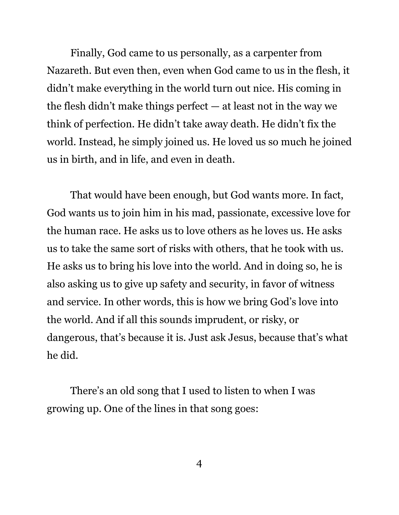Finally, God came to us personally, as a carpenter from Nazareth. But even then, even when God came to us in the flesh, it didn't make everything in the world turn out nice. His coming in the flesh didn't make things perfect — at least not in the way we think of perfection. He didn't take away death. He didn't fix the world. Instead, he simply joined us. He loved us so much he joined us in birth, and in life, and even in death.

That would have been enough, but God wants more. In fact, God wants us to join him in his mad, passionate, excessive love for the human race. He asks us to love others as he loves us. He asks us to take the same sort of risks with others, that he took with us. He asks us to bring his love into the world. And in doing so, he is also asking us to give up safety and security, in favor of witness and service. In other words, this is how we bring God's love into the world. And if all this sounds imprudent, or risky, or dangerous, that's because it is. Just ask Jesus, because that's what he did.

There's an old song that I used to listen to when I was growing up. One of the lines in that song goes: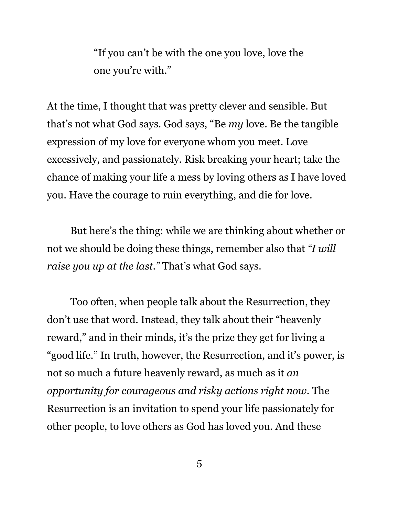"If you can't be with the one you love, love the one you're with."

At the time, I thought that was pretty clever and sensible. But that's not what God says. God says, "Be *my* love. Be the tangible expression of my love for everyone whom you meet. Love excessively, and passionately. Risk breaking your heart; take the chance of making your life a mess by loving others as I have loved you. Have the courage to ruin everything, and die for love.

But here's the thing: while we are thinking about whether or not we should be doing these things, remember also that *"I will raise you up at the last."* That's what God says.

Too often, when people talk about the Resurrection, they don't use that word. Instead, they talk about their "heavenly reward," and in their minds, it's the prize they get for living a "good life." In truth, however, the Resurrection, and it's power, is not so much a future heavenly reward, as much as it *an opportunity for courageous and risky actions right now*. The Resurrection is an invitation to spend your life passionately for other people, to love others as God has loved you. And these